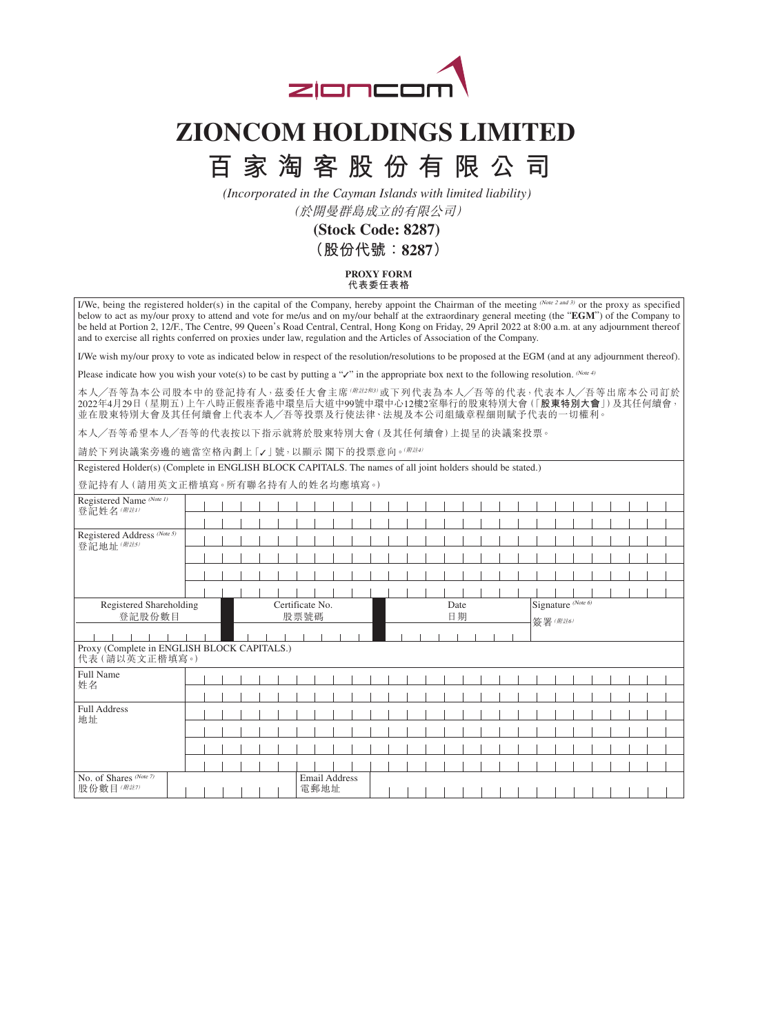

## **ZIONCOM HOLDINGS LIMITED**

## **百家淘客股份有限公司**

*(Incorporated in the Cayman Islands with limited liability)* 

(於開曼群島成立的有限公司)

**(Stock Code: 8287) (股份代號:8287)**

> **PROXY FORM 代表委任表格**

I/We, being the registered holder(s) in the capital of the Company, hereby appoint the Chairman of the meeting (Note 2 and 3) or the proxy as specified below to act as my/our proxy to attend and vote for me/us and on my/our behalf at the extraordinary general meeting (the "**EGM**") of the Company to be held at Portion 2, 12/F., The Centre, 99 Queen's Road Central, Central, Hong Kong on Friday, 29 April 2022 at 8:00 a.m. at any adjournment thereof and to exercise all rights conferred on proxies under law, regulation and the Articles of Association of the Company.

I/We wish my/our proxy to vote as indicated below in respect of the resolution/resolutions to be proposed at the EGM (and at any adjournment thereof).

Please indicate how you wish your vote(s) to be cast by putting a "✓" in the appropriate box next to the following resolution. (Note 4)

本人/吾等為本公司股本中的登記持有人,茲委任大會主席(*\\iz\\*¤)或下列代表為本人/吾等的代表,代表本人/吾等出席本公司訂於 2022年4月29日(星期五)上午八時正假座香港中環皇后大道中99號中環中心12樓2室舉行的股東特別大會(「**股東特別大會**」)及其任何續會, 並在股東特別大會及其任何續會上代表本人╱吾等投票及行使法律、法規及本公司組織章程細則賦予代表的一切權利。

本人╱吾等希望本人╱吾等的代表按以下指示就將於股東特別大會(及其任何續會)上提呈的決議案投票。

請於下列決議案旁邊的適當空格內劃上「√」號,以顯示閣下的投票意向。(附註4)

Registered Holder(s) (Complete in ENGLISH BLOCK CAPITALS. The names of all joint holders should be stated.)

登記持有人(請用英文正楷填寫。所有聯名持有人的姓名均應填寫。)

| Registered Name (Note 1)<br>登記姓名(附註1)                        |  |  |  |  |  |                         |  |      |               |  |            |  |  |  |  |  |  |                               |  |  |  |  |  |  |  |  |  |
|--------------------------------------------------------------|--|--|--|--|--|-------------------------|--|------|---------------|--|------------|--|--|--|--|--|--|-------------------------------|--|--|--|--|--|--|--|--|--|
|                                                              |  |  |  |  |  |                         |  |      |               |  |            |  |  |  |  |  |  |                               |  |  |  |  |  |  |  |  |  |
| Registered Address (Note 5)<br>登記地址 ( <i>附註5)</i>            |  |  |  |  |  |                         |  |      |               |  |            |  |  |  |  |  |  |                               |  |  |  |  |  |  |  |  |  |
|                                                              |  |  |  |  |  |                         |  |      |               |  |            |  |  |  |  |  |  |                               |  |  |  |  |  |  |  |  |  |
|                                                              |  |  |  |  |  |                         |  |      |               |  |            |  |  |  |  |  |  |                               |  |  |  |  |  |  |  |  |  |
|                                                              |  |  |  |  |  |                         |  |      |               |  |            |  |  |  |  |  |  |                               |  |  |  |  |  |  |  |  |  |
| Registered Shareholding<br>登記股份數目                            |  |  |  |  |  | Certificate No.<br>股票號碼 |  |      |               |  | Date<br>日期 |  |  |  |  |  |  | Signature (Note 6)<br>簽署(附註6) |  |  |  |  |  |  |  |  |  |
|                                                              |  |  |  |  |  |                         |  |      |               |  |            |  |  |  |  |  |  |                               |  |  |  |  |  |  |  |  |  |
| Proxy (Complete in ENGLISH BLOCK CAPITALS.)<br>代表(請以英文正楷填寫。) |  |  |  |  |  |                         |  |      |               |  |            |  |  |  |  |  |  |                               |  |  |  |  |  |  |  |  |  |
| Full Name<br>姓名                                              |  |  |  |  |  |                         |  |      |               |  |            |  |  |  |  |  |  |                               |  |  |  |  |  |  |  |  |  |
|                                                              |  |  |  |  |  |                         |  |      |               |  |            |  |  |  |  |  |  |                               |  |  |  |  |  |  |  |  |  |
| Full Address                                                 |  |  |  |  |  |                         |  |      |               |  |            |  |  |  |  |  |  |                               |  |  |  |  |  |  |  |  |  |
| 地址                                                           |  |  |  |  |  |                         |  |      |               |  |            |  |  |  |  |  |  |                               |  |  |  |  |  |  |  |  |  |
|                                                              |  |  |  |  |  |                         |  |      |               |  |            |  |  |  |  |  |  |                               |  |  |  |  |  |  |  |  |  |
|                                                              |  |  |  |  |  |                         |  |      |               |  |            |  |  |  |  |  |  |                               |  |  |  |  |  |  |  |  |  |
|                                                              |  |  |  |  |  |                         |  |      |               |  |            |  |  |  |  |  |  |                               |  |  |  |  |  |  |  |  |  |
| No. of Shares (Note 7)<br>股份數目(附註7)                          |  |  |  |  |  |                         |  | 電郵地址 | Email Address |  |            |  |  |  |  |  |  |                               |  |  |  |  |  |  |  |  |  |